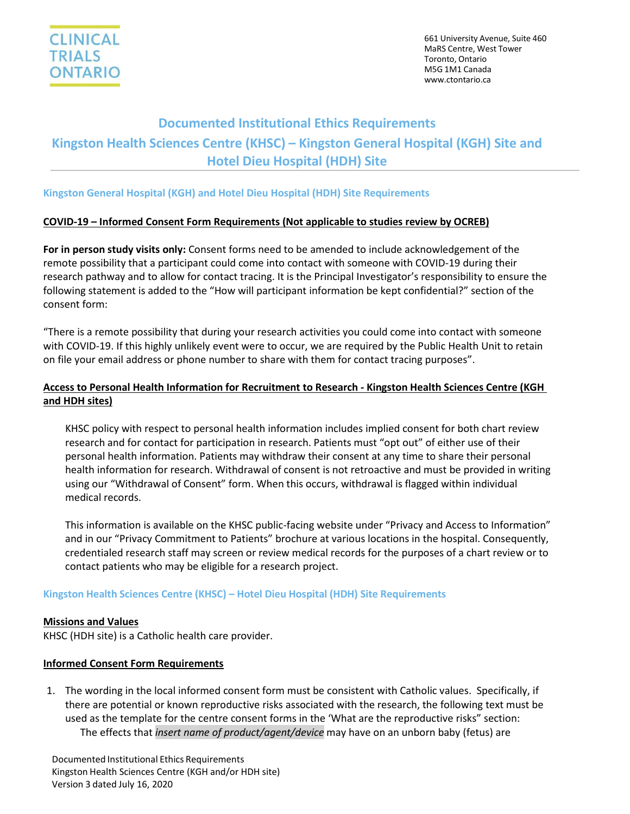

661 University Avenue, Suite 460 MaRS Centre, West Tower Toronto, Ontario M5G 1M1 Canada [www.ctontario.ca](http://www.ctontario.ca/)

# **Documented Institutional Ethics Requirements Kingston Health Sciences Centre (KHSC) – Kingston General Hospital (KGH) Site and Hotel Dieu Hospital (HDH) Site**

### **Kingston General Hospital (KGH) and Hotel Dieu Hospital (HDH) Site Requirements**

### **COVID-19 – Informed Consent Form Requirements (Not applicable to studies review by OCREB)**

**For in person study visits only:** Consent forms need to be amended to include acknowledgement of the remote possibility that a participant could come into contact with someone with COVID-19 during their research pathway and to allow for contact tracing. It is the Principal Investigator's responsibility to ensure the following statement is added to the "How will participant information be kept confidential?" section of the consent form:

"There is a remote possibility that during your research activities you could come into contact with someone with COVID-19. If this highly unlikely event were to occur, we are required by the Public Health Unit to retain on file your email address or phone number to share with them for contact tracing purposes".

## **Access to Personal Health Information for Recruitment to Research - Kingston Health Sciences Centre (KGH and HDH sites)**

KHSC policy with respect to personal health information includes implied consent for both chart review research and for contact for participation in research. Patients must "opt out" of either use of their personal health information. Patients may withdraw their consent at any time to share their personal health information for research. Withdrawal of consent is not retroactive and must be provided in writing using our "Withdrawal of Consent" form. When this occurs, withdrawal is flagged within individual medical records.

This information is available on the KHSC public-facing website under "Privacy and Access to Information" and in our "Privacy Commitment to Patients" brochure at various locations in the hospital. Consequently, credentialed research staff may screen or review medical records for the purposes of a chart review or to contact patients who may be eligible for a research project.

### **Kingston Health Sciences Centre (KHSC) – Hotel Dieu Hospital (HDH) Site Requirements**

### **Missions and Values**

KHSC (HDH site) is a Catholic health care provider.

### **Informed Consent Form Requirements**

1. The wording in the local informed consent form must be consistent with Catholic values. Specifically, if there are potential or known reproductive risks associated with the research, the following text must be used as the template for the centre consent forms in the 'What are the reproductive risks" section: The effects that *insert name of product/agent/device* may have on an unborn baby (fetus) are

Documented Institutional Ethics Requirements Kingston Health Sciences Centre (KGH and/or HDH site) Version 3 dated July 16, 2020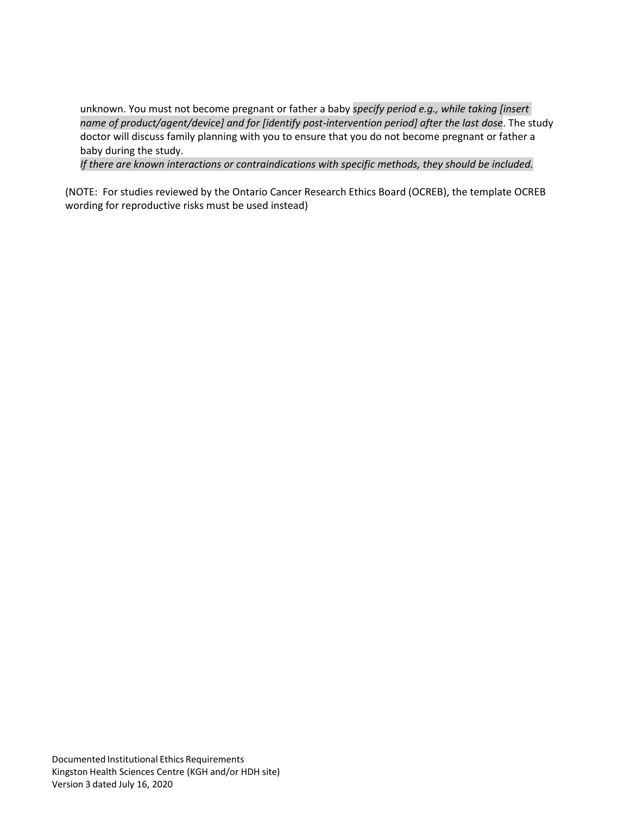unknown. You must not become pregnant or father a baby *specify period e.g., while taking [insert name of product/agent/device] and for [identify post-intervention period] after the last dose*. The study doctor will discuss family planning with you to ensure that you do not become pregnant or father a baby during the study.

*If there are known interactions or contraindications with specific methods, they should be included.*

(NOTE: For studies reviewed by the Ontario Cancer Research Ethics Board (OCREB), the template OCREB wording for reproductive risks must be used instead)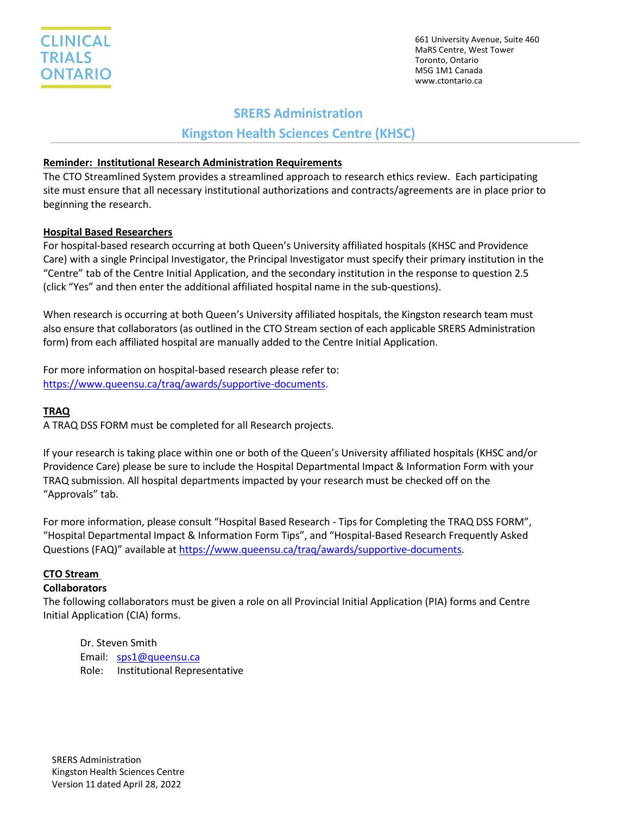661 University Avenue, Suite 460 MaRS Centre, West Tower Toronto, Ontario M5G 1M1 Canada www.ctontario.ca

# **SRERS Administration**

# **Kingston Health Sciences Centre (KHSC)**

## **Reminder: Institutional Research Administration Requirements**

The CTO Streamlined System provides a streamlined approach to research ethics review. Each participating site must ensure that all necessary institutional authorizations and contracts/agreements are in place prior to beginning the research.

# **Hospital Based Researchers**

For hospital-based research occurring at both Queen's University affiliated hospitals (KHSC and Providence Care) with a single Principal Investigator, the Principal Investigator must specify their primary institution in the "Centre" tab of the Centre Initial Application, and the secondary institution in the response to question 2.5 (click "Yes" and then enter the additional affiliated hospital name in the sub-questions).

When research is occurring at both Queen's University affiliated hospitals, the Kingston research team must also ensure that collaborators (as outlined in the CTO Stream section of each applicable SRERS Administration form) from each affiliated hospital are manually added to the Centre Initial Application.

For more information on hospital-based research please refer to: [https://www.queensu.ca/traq/awards/supportive-documents.](https://www.queensu.ca/traq/awards/supportive-documents)

# **TRAQ**

A TRAQ DSS FORM must be completed for all Research projects.

If your research is taking place within one or both of the Queen's University affiliated hospitals (KHSC and/or Providence Care) please be sure to include the Hospital Departmental Impact & Information Form with your TRAQ submission. All hospital departments impacted by your research must be checked off on the "Approvals" tab.

For more information, please consult "Hospital Based Research - Tips for Completing the TRAQ DSS FORM", "Hospital Departmental Impact & Information Form Tips", and "Hospital-Based Research Frequently Asked Questions (FAQ)" available at [https://www.queensu.ca/traq/awards/supportive-documents.](https://www.queensu.ca/traq/awards/supportive-documents)

# **CTO Stream**

### **Collaborators**

The following collaborators must be given a role on all Provincial Initial Application (PIA) forms and Centre Initial Application (CIA) forms.

Dr. Steven Smith Email: [sps1@queensu.ca](mailto:sps1@queensu.ca) Role: Institutional Representative

SRERS Administration Kingston Health Sciences Centre Version 11 dated April 28, 2022